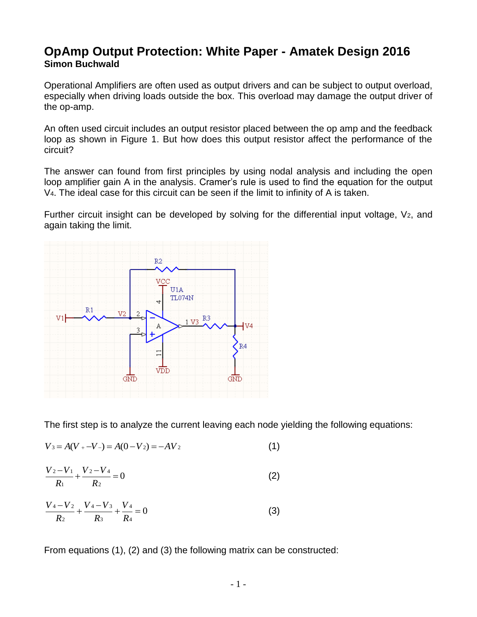## **OpAmp Output Protection: White Paper - Amatek Design 2016 Simon Buchwald**

Operational Amplifiers are often used as output drivers and can be subject to output overload, especially when driving loads outside the box. This overload may damage the output driver of the op-amp.

An often used circuit includes an output resistor placed between the op amp and the feedback loop as shown in Figure 1. But how does this output resistor affect the performance of the circuit?

The answer can found from first principles by using nodal analysis and including the open loop amplifier gain A in the analysis. Cramer's rule is used to find the equation for the output V4. The ideal case for this circuit can be seen if the limit to infinity of A is taken.

Further circuit insight can be developed by solving for the differential input voltage, V<sub>2</sub>, and again taking the limit.



The first step is to analyze the current leaving each node yielding the following equations:

$$
V_3 = A(V_+ - V_-) = A(0 - V_2) = -AV_2 \tag{1}
$$

$$
\frac{V_2 - V_1}{R_1} + \frac{V_2 - V_4}{R_2} = 0
$$
 (2)

$$
\frac{V_4 - V_2}{R_2} + \frac{V_4 - V_3}{R_3} + \frac{V_4}{R_4} = 0
$$
\n(3)

From equations (1), (2) and (3) the following matrix can be constructed: